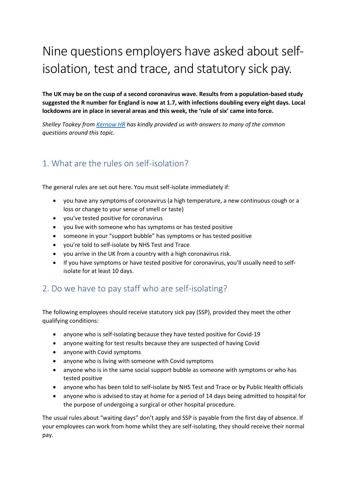# Nine questions employers have asked about selfisolation, test and trace, and statutory sick pay.

**The UK may be on the cusp of a second coronavirus wave. Results from a population-based study suggested the R number for England is now at 1.7, with infections doubling every eight days. Local lockdowns are in place in several areas and this week, the 'rule of six' came into force.**

*Shelley Tookey from [Kernow HR](http://www.kernowhr.uk/) has kindly provided us with answers to many of the common questions around this topic.*

### 1. What are the rules on self-isolation?

The general rules are set out here. You must self-isolate immediately if:

- you have any symptoms of coronavirus (a high temperature, a new continuous cough or a loss or change to your sense of smell or taste)
- you've tested positive for coronavirus
- you live with someone who has symptoms or has tested positive
- someone in your "support bubble" has symptoms or has tested positive
- you're told to self-isolate by NHS Test and Trace
- you arrive in the UK from a country with a high coronavirus risk.
- If you have symptoms or have tested positive for coronavirus, you'll usually need to selfisolate for at least 10 days.

### 2. Do we have to pay staff who are self-isolating?

The following employees should receive statutory sick pay (SSP), provided they meet the other qualifying conditions:

- anyone who is self-isolating because they have tested positive for Covid-19
- anyone waiting for test results because they are suspected of having Covid
- anyone with Covid symptoms
- anyone who is living with someone with Covid symptoms
- anyone who is in the same social support bubble as someone with symptoms or who has tested positive
- anyone who has been told to self-isolate by NHS Test and Trace or by Public Health officials
- anyone who is advised to stay at home for a period of 14 days being admitted to hospital for the purpose of undergoing a surgical or other hospital procedure.

The usual rules about "waiting days" don't apply and SSP is payable from the first day of absence. If your employees can work from home whilst they are self-isolating, they should receive their normal pay.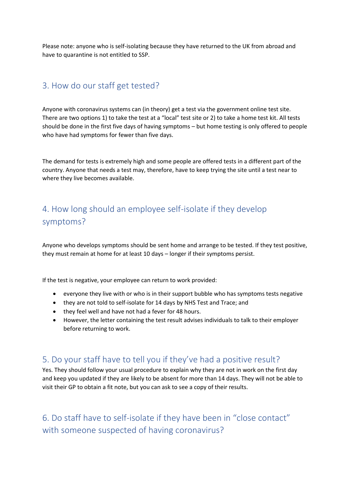Please note: anyone who is self-isolating because they have returned to the UK from abroad and have to quarantine is not entitled to SSP.

#### 3. How do our staff get tested?

Anyone with coronavirus systems can (in theory) get a test via the government online test site. There are two options 1) to take the test at a "local" test site or 2) to take a home test kit. All tests should be done in the first five days of having symptoms – but home testing is only offered to people who have had symptoms for fewer than five days.

The demand for tests is extremely high and some people are offered tests in a different part of the country. Anyone that needs a test may, therefore, have to keep trying the site until a test near to where they live becomes available.

## 4. How long should an employee self-isolate if they develop symptoms?

Anyone who develops symptoms should be sent home and arrange to be tested. If they test positive, they must remain at home for at least 10 days – longer if their symptoms persist.

If the test is negative, your employee can return to work provided:

- everyone they live with or who is in their support bubble who has symptoms tests negative
- they are not told to self-isolate for 14 days by NHS Test and Trace; and
- they feel well and have not had a fever for 48 hours.
- However, the letter containing the test result advises individuals to talk to their employer before returning to work.

#### 5. Do your staff have to tell you if they've had a positive result?

Yes. They should follow your usual procedure to explain why they are not in work on the first day and keep you updated if they are likely to be absent for more than 14 days. They will not be able to visit their GP to obtain a fit note, but you can ask to see a copy of their results.

6. Do staff have to self-isolate if they have been in "close contact" with someone suspected of having coronavirus?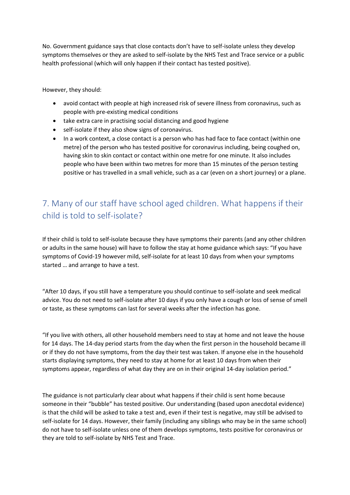No. Government guidance says that close contacts don't have to self-isolate unless they develop symptoms themselves or they are asked to self-isolate by the NHS Test and Trace service or a public health professional (which will only happen if their contact has tested positive).

However, they should:

- avoid contact with people at high increased risk of severe illness from coronavirus, such as people with pre-existing medical conditions
- take extra care in practising social distancing and good hygiene
- self-isolate if they also show signs of coronavirus.
- In a work context, a close contact is a person who has had face to face contact (within one metre) of the person who has tested positive for coronavirus including, being coughed on, having skin to skin contact or contact within one metre for one minute. It also includes people who have been within two metres for more than 15 minutes of the person testing positive or has travelled in a small vehicle, such as a car (even on a short journey) or a plane.

## 7. Many of our staff have school aged children. What happens if their child is told to self-isolate?

If their child is told to self-isolate because they have symptoms their parents (and any other children or adults in the same house) will have to follow the stay at home guidance which says: "If you have symptoms of Covid-19 however mild, self-isolate for at least 10 days from when your symptoms started … and arrange to have a test.

"After 10 days, if you still have a temperature you should continue to self-isolate and seek medical advice. You do not need to self-isolate after 10 days if you only have a cough or loss of sense of smell or taste, as these symptoms can last for several weeks after the infection has gone.

"If you live with others, all other household members need to stay at home and not leave the house for 14 days. The 14-day period starts from the day when the first person in the household became ill or if they do not have symptoms, from the day their test was taken. If anyone else in the household starts displaying symptoms, they need to stay at home for at least 10 days from when their symptoms appear, regardless of what day they are on in their original 14-day isolation period."

The guidance is not particularly clear about what happens if their child is sent home because someone in their "bubble" has tested positive. Our understanding (based upon anecdotal evidence) is that the child will be asked to take a test and, even if their test is negative, may still be advised to self-isolate for 14 days. However, their family (including any siblings who may be in the same school) do not have to self-isolate unless one of them develops symptoms, tests positive for coronavirus or they are told to self-isolate by NHS Test and Trace.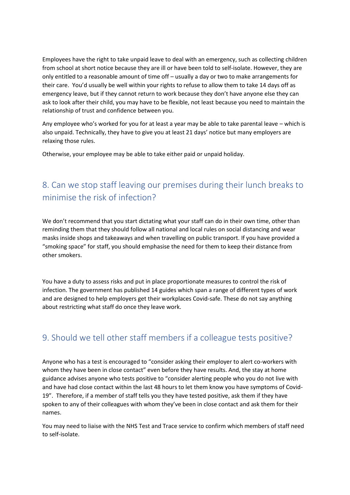Employees have the right to take unpaid leave to deal with an emergency, such as collecting children from school at short notice because they are ill or have been told to self-isolate. However, they are only entitled to a reasonable amount of time off – usually a day or two to make arrangements for their care. You'd usually be well within your rights to refuse to allow them to take 14 days off as emergency leave, but if they cannot return to work because they don't have anyone else they can ask to look after their child, you may have to be flexible, not least because you need to maintain the relationship of trust and confidence between you.

Any employee who's worked for you for at least a year may be able to take parental leave – which is also unpaid. Technically, they have to give you at least 21 days' notice but many employers are relaxing those rules.

Otherwise, your employee may be able to take either paid or unpaid holiday.

## 8. Can we stop staff leaving our premises during their lunch breaks to minimise the risk of infection?

We don't recommend that you start dictating what your staff can do in their own time, other than reminding them that they should follow all national and local rules on social distancing and wear masks inside shops and takeaways and when travelling on public transport. If you have provided a "smoking space" for staff, you should emphasise the need for them to keep their distance from other smokers.

You have a duty to assess risks and put in place proportionate measures to control the risk of infection. The government has published 14 guides which span a range of different types of work and are designed to help employers get their workplaces Covid-safe. These do not say anything about restricting what staff do once they leave work.

### 9. Should we tell other staff members if a colleague tests positive?

Anyone who has a test is encouraged to "consider asking their employer to alert co-workers with whom they have been in close contact" even before they have results. And, the stay at home guidance advises anyone who tests positive to "consider alerting people who you do not live with and have had close contact within the last 48 hours to let them know you have symptoms of Covid-19". Therefore, if a member of staff tells you they have tested positive, ask them if they have spoken to any of their colleagues with whom they've been in close contact and ask them for their names.

You may need to liaise with the NHS Test and Trace service to confirm which members of staff need to self-isolate.